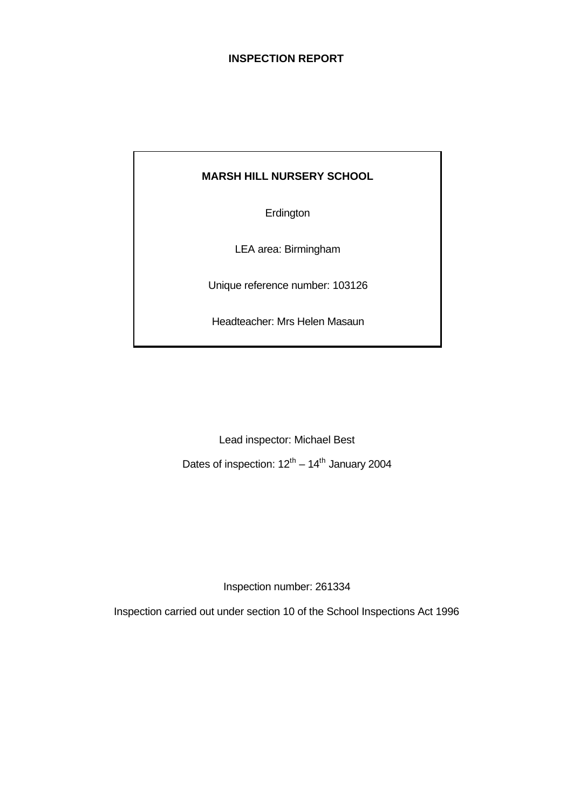# **INSPECTION REPORT**

# **MARSH HILL NURSERY SCHOOL**

**Erdington** 

LEA area: Birmingham

Unique reference number: 103126

Headteacher: Mrs Helen Masaun

Lead inspector: Michael Best

Dates of inspection:  $12^{th} - 14^{th}$  January 2004

Inspection number: 261334

Inspection carried out under section 10 of the School Inspections Act 1996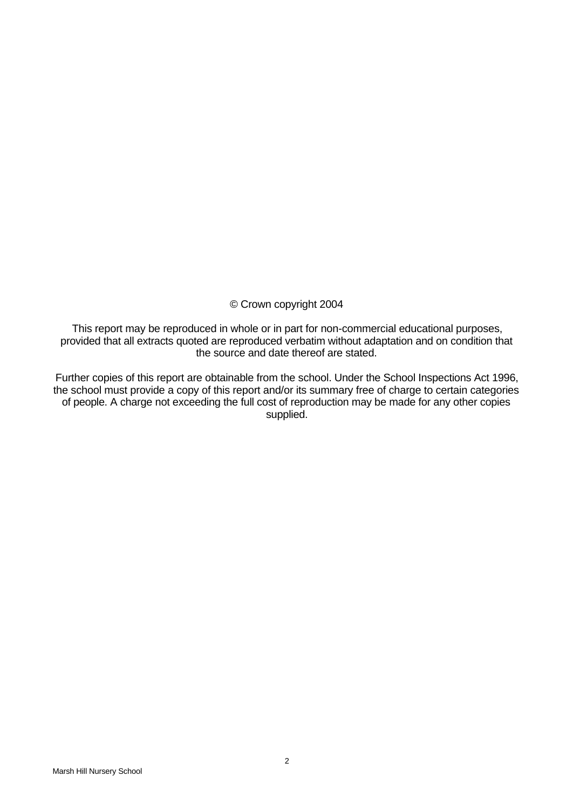# © Crown copyright 2004

This report may be reproduced in whole or in part for non-commercial educational purposes, provided that all extracts quoted are reproduced verbatim without adaptation and on condition that the source and date thereof are stated.

Further copies of this report are obtainable from the school. Under the School Inspections Act 1996, the school must provide a copy of this report and/or its summary free of charge to certain categories of people. A charge not exceeding the full cost of reproduction may be made for any other copies supplied.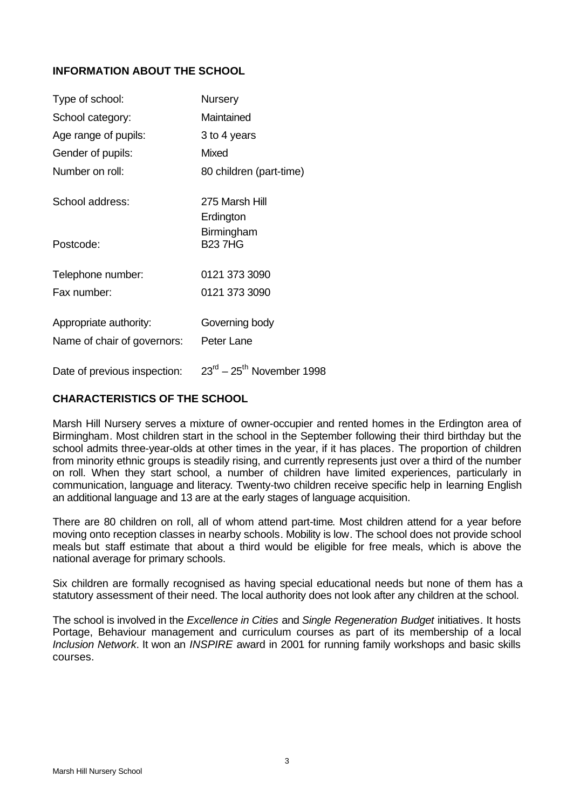# **INFORMATION ABOUT THE SCHOOL**

| Type of school:              | <b>Nursery</b>              |
|------------------------------|-----------------------------|
| School category:             | Maintained                  |
| Age range of pupils:         | 3 to 4 years                |
| Gender of pupils:            | Mixed                       |
| Number on roll:              | 80 children (part-time)     |
| School address:              | 275 Marsh Hill<br>Erdington |
| Postcode:                    | Birmingham<br><b>B237HG</b> |
| Telephone number:            | 0121 373 3090               |
| Fax number:                  | 0121 373 3090               |
| Appropriate authority:       | Governing body              |
| Name of chair of governors:  | Peter Lane                  |
| Date of previous inspection: | $23rd - 25th$ November 1998 |

# **CHARACTERISTICS OF THE SCHOOL**

Marsh Hill Nursery serves a mixture of owner-occupier and rented homes in the Erdington area of Birmingham. Most children start in the school in the September following their third birthday but the school admits three-year-olds at other times in the year, if it has places. The proportion of children from minority ethnic groups is steadily rising, and currently represents just over a third of the number on roll. When they start school, a number of children have limited experiences, particularly in communication, language and literacy. Twenty-two children receive specific help in learning English an additional language and 13 are at the early stages of language acquisition.

There are 80 children on roll, all of whom attend part-time. Most children attend for a year before moving onto reception classes in nearby schools. Mobility is low. The school does not provide school meals but staff estimate that about a third would be eligible for free meals, which is above the national average for primary schools.

Six children are formally recognised as having special educational needs but none of them has a statutory assessment of their need. The local authority does not look after any children at the school.

The school is involved in the *Excellence in Cities* and *Single Regeneration Budget* initiatives. It hosts Portage, Behaviour management and curriculum courses as part of its membership of a local *Inclusion Network*. It won an *INSPIRE* award in 2001 for running family workshops and basic skills courses.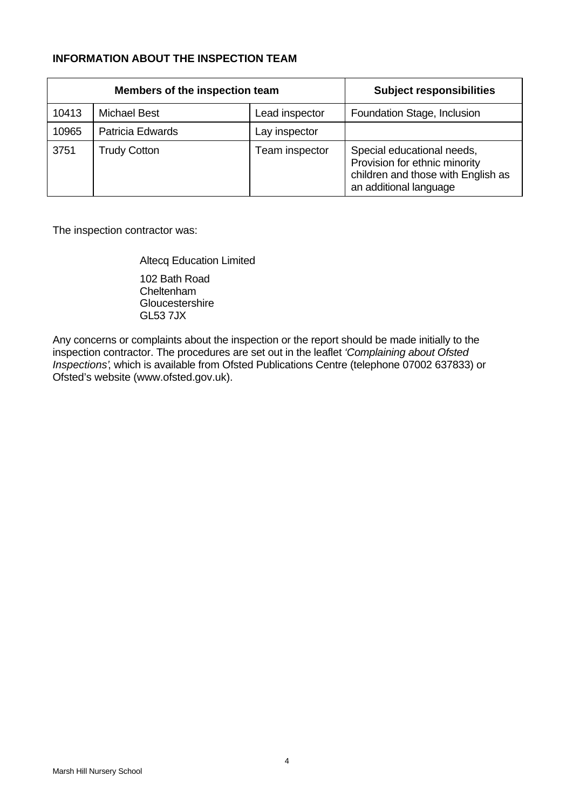# **INFORMATION ABOUT THE INSPECTION TEAM**

| Members of the inspection team |                     | <b>Subject responsibilities</b> |                                                                                                                             |
|--------------------------------|---------------------|---------------------------------|-----------------------------------------------------------------------------------------------------------------------------|
| 10413                          | <b>Michael Best</b> | Lead inspector                  | Foundation Stage, Inclusion                                                                                                 |
| 10965                          | Patricia Edwards    | Lay inspector                   |                                                                                                                             |
| 3751                           | <b>Trudy Cotton</b> | Team inspector                  | Special educational needs,<br>Provision for ethnic minority<br>children and those with English as<br>an additional language |

The inspection contractor was:

Altecq Education Limited

102 Bath Road Cheltenham **Gloucestershire** GL53 7JX

Any concerns or complaints about the inspection or the report should be made initially to the inspection contractor. The procedures are set out in the leaflet *'Complaining about Ofsted Inspections'*, which is available from Ofsted Publications Centre (telephone 07002 637833) or Ofsted's website (www.ofsted.gov.uk).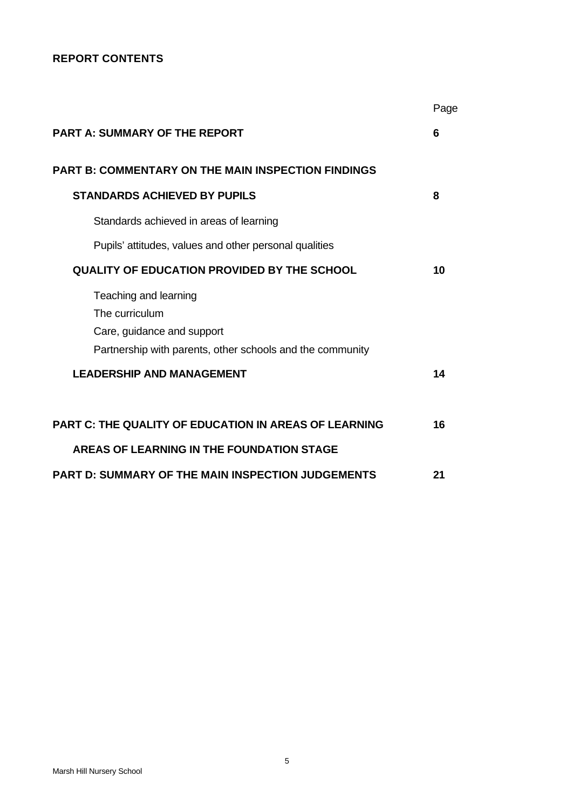# **REPORT CONTENTS**

|                                                              | Page |
|--------------------------------------------------------------|------|
| <b>PART A: SUMMARY OF THE REPORT</b>                         | 6    |
| <b>PART B: COMMENTARY ON THE MAIN INSPECTION FINDINGS</b>    |      |
| <b>STANDARDS ACHIEVED BY PUPILS</b>                          | 8    |
| Standards achieved in areas of learning                      |      |
| Pupils' attitudes, values and other personal qualities       |      |
| <b>QUALITY OF EDUCATION PROVIDED BY THE SCHOOL</b>           | 10   |
| Teaching and learning                                        |      |
| The curriculum                                               |      |
| Care, guidance and support                                   |      |
| Partnership with parents, other schools and the community    |      |
| <b>LEADERSHIP AND MANAGEMENT</b>                             | 14   |
| <b>PART C: THE QUALITY OF EDUCATION IN AREAS OF LEARNING</b> | 16   |
| AREAS OF LEARNING IN THE FOUNDATION STAGE                    |      |
| <b>PART D: SUMMARY OF THE MAIN INSPECTION JUDGEMENTS</b>     | 21   |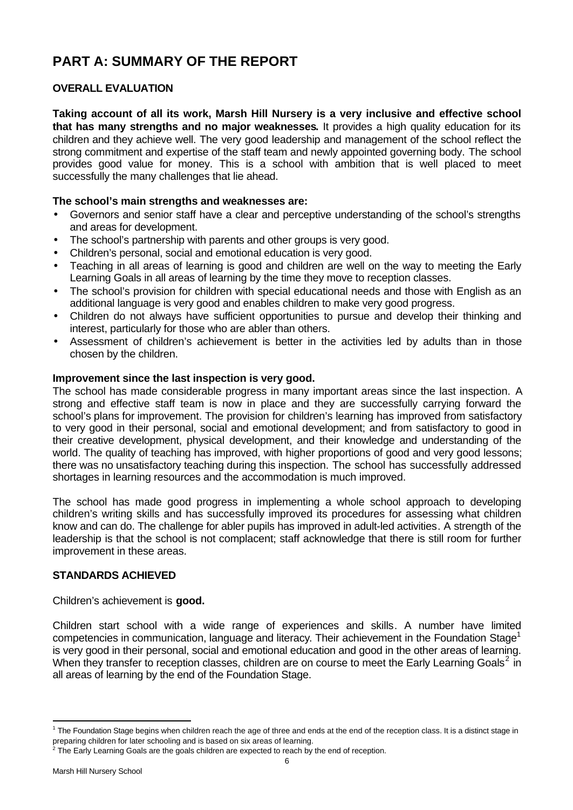# **PART A: SUMMARY OF THE REPORT**

# **OVERALL EVALUATION**

**Taking account of all its work, Marsh Hill Nursery is a very inclusive and effective school that has many strengths and no major weaknesses.** It provides a high quality education for its children and they achieve well. The very good leadership and management of the school reflect the strong commitment and expertise of the staff team and newly appointed governing body. The school provides good value for money. This is a school with ambition that is well placed to meet successfully the many challenges that lie ahead.

# **The school's main strengths and weaknesses are:**

- Governors and senior staff have a clear and perceptive understanding of the school's strengths and areas for development.
- The school's partnership with parents and other groups is very good.
- Children's personal, social and emotional education is very good.
- Teaching in all areas of learning is good and children are well on the way to meeting the Early Learning Goals in all areas of learning by the time they move to reception classes.
- The school's provision for children with special educational needs and those with English as an additional language is very good and enables children to make very good progress.
- Children do not always have sufficient opportunities to pursue and develop their thinking and interest, particularly for those who are abler than others.
- Assessment of children's achievement is better in the activities led by adults than in those chosen by the children.

# **Improvement since the last inspection is very good.**

The school has made considerable progress in many important areas since the last inspection. A strong and effective staff team is now in place and they are successfully carrying forward the school's plans for improvement. The provision for children's learning has improved from satisfactory to very good in their personal, social and emotional development; and from satisfactory to good in their creative development, physical development, and their knowledge and understanding of the world. The quality of teaching has improved, with higher proportions of good and very good lessons; there was no unsatisfactory teaching during this inspection. The school has successfully addressed shortages in learning resources and the accommodation is much improved.

The school has made good progress in implementing a whole school approach to developing children's writing skills and has successfully improved its procedures for assessing what children know and can do. The challenge for abler pupils has improved in adult-led activities. A strength of the leadership is that the school is not complacent; staff acknowledge that there is still room for further improvement in these areas.

# **STANDARDS ACHIEVED**

# Children's achievement is **good.**

Children start school with a wide range of experiences and skills. A number have limited competencies in communication, language and literacy. Their achievement in the Foundation Stage<sup>1</sup> is very good in their personal, social and emotional education and good in the other areas of learning. When they transfer to reception classes, children are on course to meet the Early Learning Goals<sup>2</sup> in all areas of learning by the end of the Foundation Stage.

l

<sup>&</sup>lt;sup>1</sup> The Foundation Stage begins when children reach the age of three and ends at the end of the reception class. It is a distinct stage in preparing children for later schooling and is based on six areas of learning.

 $2$  The Early Learning Goals are the goals children are expected to reach by the end of reception.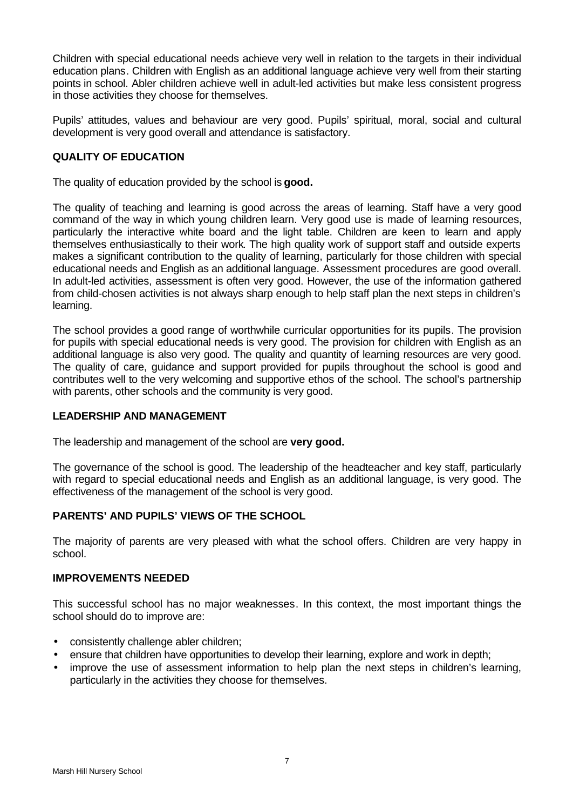Children with special educational needs achieve very well in relation to the targets in their individual education plans. Children with English as an additional language achieve very well from their starting points in school. Abler children achieve well in adult-led activities but make less consistent progress in those activities they choose for themselves.

Pupils' attitudes, values and behaviour are very good. Pupils' spiritual, moral, social and cultural development is very good overall and attendance is satisfactory.

# **QUALITY OF EDUCATION**

The quality of education provided by the school is **good.**

The quality of teaching and learning is good across the areas of learning. Staff have a very good command of the way in which young children learn. Very good use is made of learning resources, particularly the interactive white board and the light table. Children are keen to learn and apply themselves enthusiastically to their work. The high quality work of support staff and outside experts makes a significant contribution to the quality of learning, particularly for those children with special educational needs and English as an additional language. Assessment procedures are good overall. In adult-led activities, assessment is often very good. However, the use of the information gathered from child-chosen activities is not always sharp enough to help staff plan the next steps in children's learning.

The school provides a good range of worthwhile curricular opportunities for its pupils. The provision for pupils with special educational needs is very good. The provision for children with English as an additional language is also very good. The quality and quantity of learning resources are very good. The quality of care, guidance and support provided for pupils throughout the school is good and contributes well to the very welcoming and supportive ethos of the school. The school's partnership with parents, other schools and the community is very good.

# **LEADERSHIP AND MANAGEMENT**

The leadership and management of the school are **very good.**

The governance of the school is good. The leadership of the headteacher and key staff, particularly with regard to special educational needs and English as an additional language, is very good. The effectiveness of the management of the school is very good.

# **PARENTS' AND PUPILS' VIEWS OF THE SCHOOL**

The majority of parents are very pleased with what the school offers. Children are very happy in school.

# **IMPROVEMENTS NEEDED**

This successful school has no major weaknesses. In this context, the most important things the school should do to improve are:

- consistently challenge abler children;
- ensure that children have opportunities to develop their learning, explore and work in depth;
- improve the use of assessment information to help plan the next steps in children's learning, particularly in the activities they choose for themselves.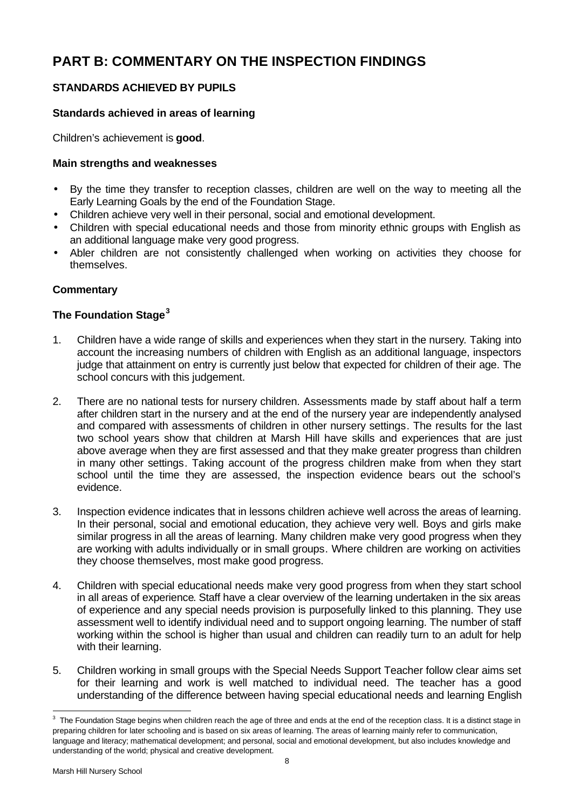# **PART B: COMMENTARY ON THE INSPECTION FINDINGS**

# **STANDARDS ACHIEVED BY PUPILS**

# **Standards achieved in areas of learning**

Children's achievement is **good**.

# **Main strengths and weaknesses**

- By the time they transfer to reception classes, children are well on the way to meeting all the Early Learning Goals by the end of the Foundation Stage.
- Children achieve very well in their personal, social and emotional development.
- Children with special educational needs and those from minority ethnic groups with English as an additional language make very good progress.
- Abler children are not consistently challenged when working on activities they choose for themselves.

# **Commentary**

# **The Foundation Stage<sup>3</sup>**

- 1. Children have a wide range of skills and experiences when they start in the nursery. Taking into account the increasing numbers of children with English as an additional language, inspectors judge that attainment on entry is currently just below that expected for children of their age. The school concurs with this judgement.
- 2. There are no national tests for nursery children. Assessments made by staff about half a term after children start in the nursery and at the end of the nursery year are independently analysed and compared with assessments of children in other nursery settings. The results for the last two school years show that children at Marsh Hill have skills and experiences that are just above average when they are first assessed and that they make greater progress than children in many other settings. Taking account of the progress children make from when they start school until the time they are assessed, the inspection evidence bears out the school's evidence.
- 3. Inspection evidence indicates that in lessons children achieve well across the areas of learning. In their personal, social and emotional education, they achieve very well. Boys and girls make similar progress in all the areas of learning. Many children make very good progress when they are working with adults individually or in small groups. Where children are working on activities they choose themselves, most make good progress.
- 4. Children with special educational needs make very good progress from when they start school in all areas of experience. Staff have a clear overview of the learning undertaken in the six areas of experience and any special needs provision is purposefully linked to this planning. They use assessment well to identify individual need and to support ongoing learning. The number of staff working within the school is higher than usual and children can readily turn to an adult for help with their learning.
- 5. Children working in small groups with the Special Needs Support Teacher follow clear aims set for their learning and work is well matched to individual need. The teacher has a good understanding of the difference between having special educational needs and learning English

l

 $3$  The Foundation Stage begins when children reach the age of three and ends at the end of the reception class. It is a distinct stage in preparing children for later schooling and is based on six areas of learning. The areas of learning mainly refer to communication, language and literacy; mathematical development; and personal, social and emotional development, but also includes knowledge and understanding of the world; physical and creative development.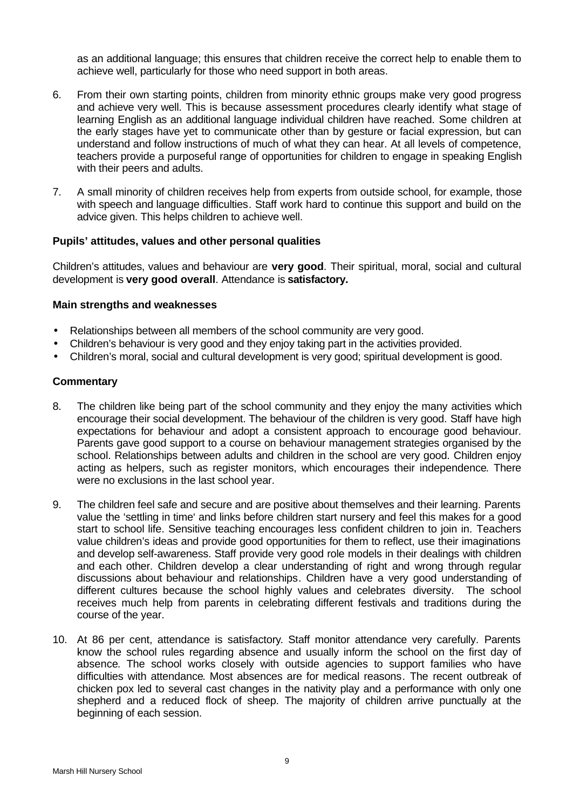as an additional language; this ensures that children receive the correct help to enable them to achieve well, particularly for those who need support in both areas.

- 6. From their own starting points, children from minority ethnic groups make very good progress and achieve very well. This is because assessment procedures clearly identify what stage of learning English as an additional language individual children have reached. Some children at the early stages have yet to communicate other than by gesture or facial expression, but can understand and follow instructions of much of what they can hear. At all levels of competence, teachers provide a purposeful range of opportunities for children to engage in speaking English with their peers and adults.
- 7. A small minority of children receives help from experts from outside school, for example, those with speech and language difficulties. Staff work hard to continue this support and build on the advice given. This helps children to achieve well.

### **Pupils' attitudes, values and other personal qualities**

Children's attitudes, values and behaviour are **very good**. Their spiritual, moral, social and cultural development is **very good overall**. Attendance is **satisfactory.**

### **Main strengths and weaknesses**

- Relationships between all members of the school community are very good.
- Children's behaviour is very good and they enjoy taking part in the activities provided.
- Children's moral, social and cultural development is very good; spiritual development is good.

- 8. The children like being part of the school community and they enjoy the many activities which encourage their social development. The behaviour of the children is very good. Staff have high expectations for behaviour and adopt a consistent approach to encourage good behaviour. Parents gave good support to a course on behaviour management strategies organised by the school. Relationships between adults and children in the school are very good. Children enjoy acting as helpers, such as register monitors, which encourages their independence. There were no exclusions in the last school year.
- 9. The children feel safe and secure and are positive about themselves and their learning. Parents value the 'settling in time' and links before children start nursery and feel this makes for a good start to school life. Sensitive teaching encourages less confident children to join in. Teachers value children's ideas and provide good opportunities for them to reflect, use their imaginations and develop self-awareness. Staff provide very good role models in their dealings with children and each other. Children develop a clear understanding of right and wrong through regular discussions about behaviour and relationships. Children have a very good understanding of different cultures because the school highly values and celebrates diversity. The school receives much help from parents in celebrating different festivals and traditions during the course of the year.
- 10. At 86 per cent, attendance is satisfactory. Staff monitor attendance very carefully. Parents know the school rules regarding absence and usually inform the school on the first day of absence. The school works closely with outside agencies to support families who have difficulties with attendance. Most absences are for medical reasons. The recent outbreak of chicken pox led to several cast changes in the nativity play and a performance with only one shepherd and a reduced flock of sheep. The majority of children arrive punctually at the beginning of each session.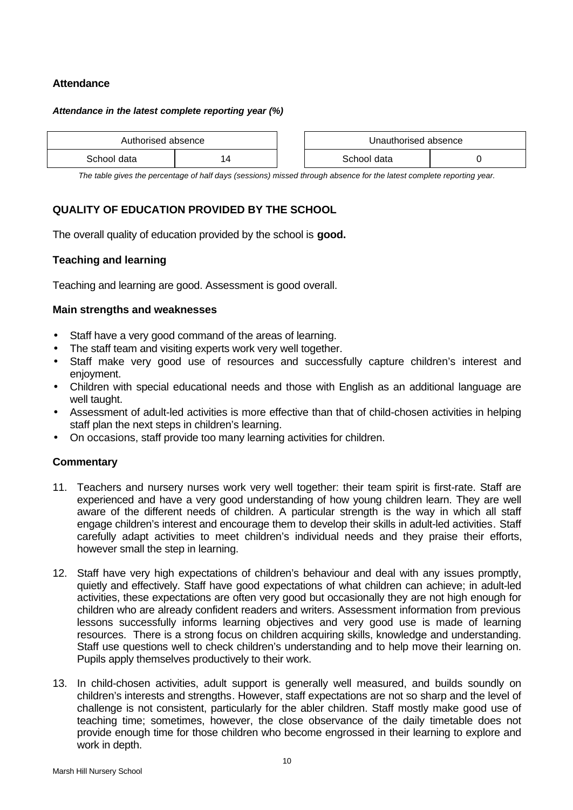# **Attendance**

#### *Attendance in the latest complete reporting year (%)*

| Authorised absence |             | Unauthorised absence |             |  |
|--------------------|-------------|----------------------|-------------|--|
|                    | School data |                      | School data |  |

| Unauthorised absence |  |  |
|----------------------|--|--|
| School data          |  |  |

*The table gives the percentage of half days (sessions) missed through absence for the latest complete reporting year.*

# **QUALITY OF EDUCATION PROVIDED BY THE SCHOOL**

The overall quality of education provided by the school is **good.**

### **Teaching and learning**

Teaching and learning are good. Assessment is good overall.

### **Main strengths and weaknesses**

- Staff have a very good command of the areas of learning.
- The staff team and visiting experts work very well together.
- Staff make very good use of resources and successfully capture children's interest and enjoyment.
- Children with special educational needs and those with English as an additional language are well taught.
- Assessment of adult-led activities is more effective than that of child-chosen activities in helping staff plan the next steps in children's learning.
- On occasions, staff provide too many learning activities for children.

- 11. Teachers and nursery nurses work very well together: their team spirit is first-rate. Staff are experienced and have a very good understanding of how young children learn. They are well aware of the different needs of children. A particular strength is the way in which all staff engage children's interest and encourage them to develop their skills in adult-led activities. Staff carefully adapt activities to meet children's individual needs and they praise their efforts, however small the step in learning.
- 12. Staff have very high expectations of children's behaviour and deal with any issues promptly, quietly and effectively. Staff have good expectations of what children can achieve; in adult-led activities, these expectations are often very good but occasionally they are not high enough for children who are already confident readers and writers. Assessment information from previous lessons successfully informs learning objectives and very good use is made of learning resources. There is a strong focus on children acquiring skills, knowledge and understanding. Staff use questions well to check children's understanding and to help move their learning on. Pupils apply themselves productively to their work.
- 13. In child-chosen activities, adult support is generally well measured, and builds soundly on children's interests and strengths. However, staff expectations are not so sharp and the level of challenge is not consistent, particularly for the abler children. Staff mostly make good use of teaching time; sometimes, however, the close observance of the daily timetable does not provide enough time for those children who become engrossed in their learning to explore and work in depth.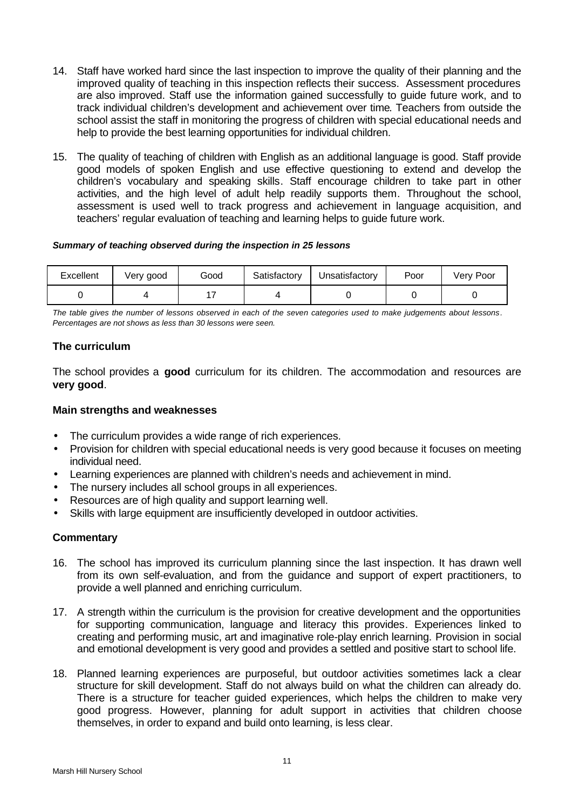- 14. Staff have worked hard since the last inspection to improve the quality of their planning and the improved quality of teaching in this inspection reflects their success. Assessment procedures are also improved. Staff use the information gained successfully to guide future work, and to track individual children's development and achievement over time. Teachers from outside the school assist the staff in monitoring the progress of children with special educational needs and help to provide the best learning opportunities for individual children.
- 15. The quality of teaching of children with English as an additional language is good. Staff provide good models of spoken English and use effective questioning to extend and develop the children's vocabulary and speaking skills. Staff encourage children to take part in other activities, and the high level of adult help readily supports them. Throughout the school, assessment is used well to track progress and achievement in language acquisition, and teachers' regular evaluation of teaching and learning helps to guide future work.

#### *Summary of teaching observed during the inspection in 25 lessons*

| Excellent | Very good | Good | Satisfactory | Unsatisfactory | Poor | Very Poor |
|-----------|-----------|------|--------------|----------------|------|-----------|
|           |           |      |              |                |      |           |

*The table gives the number of lessons observed in each of the seven categories used to make judgements about lessons. Percentages are not shows as less than 30 lessons were seen.*

# **The curriculum**

The school provides a **good** curriculum for its children. The accommodation and resources are **very good**.

# **Main strengths and weaknesses**

- The curriculum provides a wide range of rich experiences.
- Provision for children with special educational needs is very good because it focuses on meeting individual need.
- Learning experiences are planned with children's needs and achievement in mind.
- The nursery includes all school groups in all experiences.
- Resources are of high quality and support learning well.
- Skills with large equipment are insufficiently developed in outdoor activities.

- 16. The school has improved its curriculum planning since the last inspection. It has drawn well from its own self-evaluation, and from the guidance and support of expert practitioners, to provide a well planned and enriching curriculum.
- 17. A strength within the curriculum is the provision for creative development and the opportunities for supporting communication, language and literacy this provides. Experiences linked to creating and performing music, art and imaginative role-play enrich learning. Provision in social and emotional development is very good and provides a settled and positive start to school life.
- 18. Planned learning experiences are purposeful, but outdoor activities sometimes lack a clear structure for skill development. Staff do not always build on what the children can already do. There is a structure for teacher guided experiences, which helps the children to make very good progress. However, planning for adult support in activities that children choose themselves, in order to expand and build onto learning, is less clear.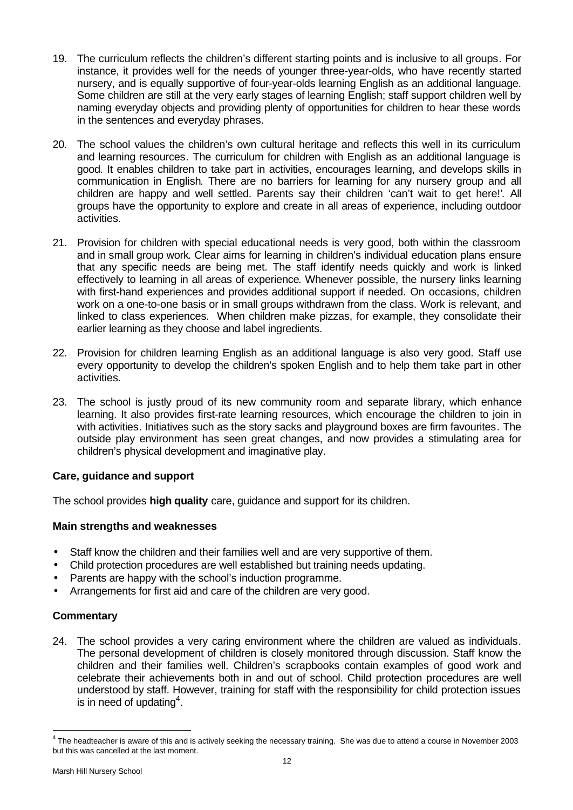- 19. The curriculum reflects the children's different starting points and is inclusive to all groups. For instance, it provides well for the needs of younger three-year-olds, who have recently started nursery, and is equally supportive of four-year-olds learning English as an additional language. Some children are still at the very early stages of learning English; staff support children well by naming everyday objects and providing plenty of opportunities for children to hear these words in the sentences and everyday phrases.
- 20. The school values the children's own cultural heritage and reflects this well in its curriculum and learning resources. The curriculum for children with English as an additional language is good. It enables children to take part in activities, encourages learning, and develops skills in communication in English. There are no barriers for learning for any nursery group and all children are happy and well settled. Parents say their children 'can't wait to get here!'. All groups have the opportunity to explore and create in all areas of experience, including outdoor activities.
- 21. Provision for children with special educational needs is very good, both within the classroom and in small group work. Clear aims for learning in children's individual education plans ensure that any specific needs are being met. The staff identify needs quickly and work is linked effectively to learning in all areas of experience. Whenever possible, the nursery links learning with first-hand experiences and provides additional support if needed. On occasions, children work on a one-to-one basis or in small groups withdrawn from the class. Work is relevant, and linked to class experiences. When children make pizzas, for example, they consolidate their earlier learning as they choose and label ingredients.
- 22. Provision for children learning English as an additional language is also very good. Staff use every opportunity to develop the children's spoken English and to help them take part in other activities.
- 23. The school is justly proud of its new community room and separate library, which enhance learning. It also provides first-rate learning resources, which encourage the children to join in with activities. Initiatives such as the story sacks and playground boxes are firm favourites. The outside play environment has seen great changes, and now provides a stimulating area for children's physical development and imaginative play.

# **Care, guidance and support**

The school provides **high quality** care, guidance and support for its children.

# **Main strengths and weaknesses**

- Staff know the children and their families well and are very supportive of them.
- Child protection procedures are well established but training needs updating.
- Parents are happy with the school's induction programme.
- Arrangements for first aid and care of the children are very good.

# **Commentary**

24. The school provides a very caring environment where the children are valued as individuals. The personal development of children is closely monitored through discussion. Staff know the children and their families well. Children's scrapbooks contain examples of good work and celebrate their achievements both in and out of school. Child protection procedures are well understood by staff. However, training for staff with the responsibility for child protection issues is in need of updating<sup>4</sup>.

l

 $^4$  The headteacher is aware of this and is actively seeking the necessary training. She was due to attend a course in November 2003 but this was cancelled at the last moment.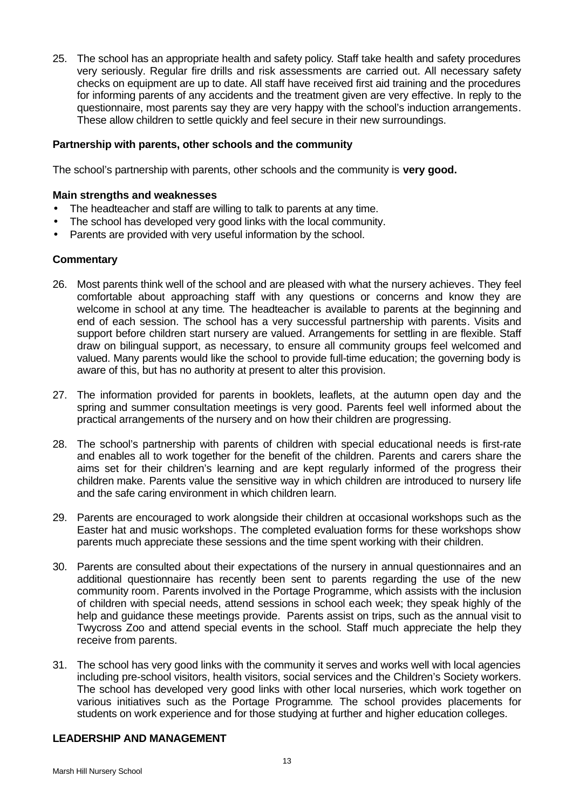25. The school has an appropriate health and safety policy. Staff take health and safety procedures very seriously. Regular fire drills and risk assessments are carried out. All necessary safety checks on equipment are up to date. All staff have received first aid training and the procedures for informing parents of any accidents and the treatment given are very effective. In reply to the questionnaire, most parents say they are very happy with the school's induction arrangements. These allow children to settle quickly and feel secure in their new surroundings.

### **Partnership with parents, other schools and the community**

The school's partnership with parents, other schools and the community is **very good.**

### **Main strengths and weaknesses**

- The headteacher and staff are willing to talk to parents at any time.
- The school has developed very good links with the local community.
- Parents are provided with very useful information by the school.

# **Commentary**

- 26. Most parents think well of the school and are pleased with what the nursery achieves. They feel comfortable about approaching staff with any questions or concerns and know they are welcome in school at any time. The headteacher is available to parents at the beginning and end of each session. The school has a very successful partnership with parents. Visits and support before children start nursery are valued. Arrangements for settling in are flexible. Staff draw on bilingual support, as necessary, to ensure all community groups feel welcomed and valued. Many parents would like the school to provide full-time education; the governing body is aware of this, but has no authority at present to alter this provision.
- 27. The information provided for parents in booklets, leaflets, at the autumn open day and the spring and summer consultation meetings is very good. Parents feel well informed about the practical arrangements of the nursery and on how their children are progressing.
- 28. The school's partnership with parents of children with special educational needs is first-rate and enables all to work together for the benefit of the children. Parents and carers share the aims set for their children's learning and are kept regularly informed of the progress their children make. Parents value the sensitive way in which children are introduced to nursery life and the safe caring environment in which children learn.
- 29. Parents are encouraged to work alongside their children at occasional workshops such as the Easter hat and music workshops. The completed evaluation forms for these workshops show parents much appreciate these sessions and the time spent working with their children.
- 30. Parents are consulted about their expectations of the nursery in annual questionnaires and an additional questionnaire has recently been sent to parents regarding the use of the new community room. Parents involved in the Portage Programme, which assists with the inclusion of children with special needs, attend sessions in school each week; they speak highly of the help and guidance these meetings provide. Parents assist on trips, such as the annual visit to Twycross Zoo and attend special events in the school. Staff much appreciate the help they receive from parents.
- 31. The school has very good links with the community it serves and works well with local agencies including pre-school visitors, health visitors, social services and the Children's Society workers. The school has developed very good links with other local nurseries, which work together on various initiatives such as the Portage Programme. The school provides placements for students on work experience and for those studying at further and higher education colleges.

#### **LEADERSHIP AND MANAGEMENT**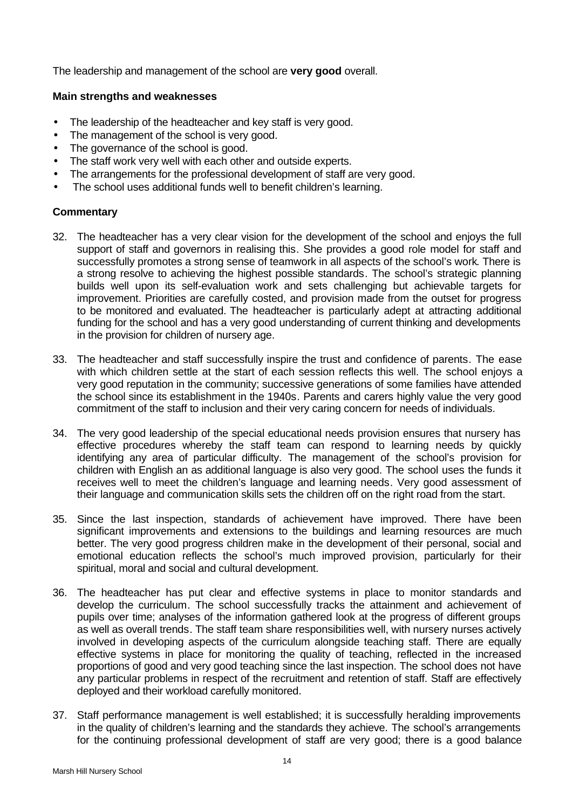The leadership and management of the school are **very good** overall.

# **Main strengths and weaknesses**

- The leadership of the headteacher and key staff is very good.
- The management of the school is very good.
- The governance of the school is good.
- The staff work very well with each other and outside experts.
- The arrangements for the professional development of staff are very good.
- The school uses additional funds well to benefit children's learning.

- 32. The headteacher has a very clear vision for the development of the school and enjoys the full support of staff and governors in realising this. She provides a good role model for staff and successfully promotes a strong sense of teamwork in all aspects of the school's work. There is a strong resolve to achieving the highest possible standards. The school's strategic planning builds well upon its self-evaluation work and sets challenging but achievable targets for improvement. Priorities are carefully costed, and provision made from the outset for progress to be monitored and evaluated. The headteacher is particularly adept at attracting additional funding for the school and has a very good understanding of current thinking and developments in the provision for children of nursery age.
- 33. The headteacher and staff successfully inspire the trust and confidence of parents. The ease with which children settle at the start of each session reflects this well. The school enjoys a very good reputation in the community; successive generations of some families have attended the school since its establishment in the 1940s. Parents and carers highly value the very good commitment of the staff to inclusion and their very caring concern for needs of individuals.
- 34. The very good leadership of the special educational needs provision ensures that nursery has effective procedures whereby the staff team can respond to learning needs by quickly identifying any area of particular difficulty. The management of the school's provision for children with English an as additional language is also very good. The school uses the funds it receives well to meet the children's language and learning needs. Very good assessment of their language and communication skills sets the children off on the right road from the start.
- 35. Since the last inspection, standards of achievement have improved. There have been significant improvements and extensions to the buildings and learning resources are much better. The very good progress children make in the development of their personal, social and emotional education reflects the school's much improved provision, particularly for their spiritual, moral and social and cultural development.
- 36. The headteacher has put clear and effective systems in place to monitor standards and develop the curriculum. The school successfully tracks the attainment and achievement of pupils over time; analyses of the information gathered look at the progress of different groups as well as overall trends. The staff team share responsibilities well, with nursery nurses actively involved in developing aspects of the curriculum alongside teaching staff. There are equally effective systems in place for monitoring the quality of teaching, reflected in the increased proportions of good and very good teaching since the last inspection. The school does not have any particular problems in respect of the recruitment and retention of staff. Staff are effectively deployed and their workload carefully monitored.
- 37. Staff performance management is well established; it is successfully heralding improvements in the quality of children's learning and the standards they achieve. The school's arrangements for the continuing professional development of staff are very good; there is a good balance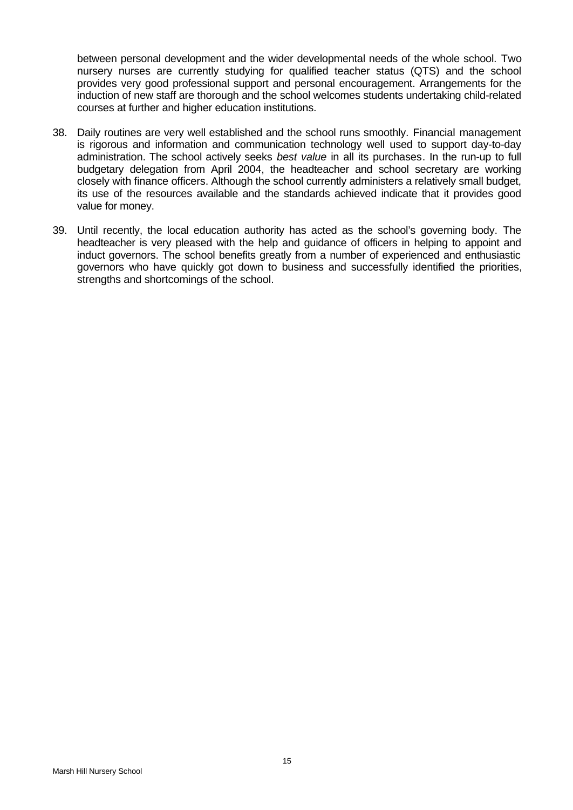between personal development and the wider developmental needs of the whole school. Two nursery nurses are currently studying for qualified teacher status (QTS) and the school provides very good professional support and personal encouragement. Arrangements for the induction of new staff are thorough and the school welcomes students undertaking child-related courses at further and higher education institutions.

- 38. Daily routines are very well established and the school runs smoothly. Financial management is rigorous and information and communication technology well used to support day-to-day administration. The school actively seeks *best value* in all its purchases. In the run-up to full budgetary delegation from April 2004, the headteacher and school secretary are working closely with finance officers. Although the school currently administers a relatively small budget, its use of the resources available and the standards achieved indicate that it provides good value for money.
- 39. Until recently, the local education authority has acted as the school's governing body. The headteacher is very pleased with the help and guidance of officers in helping to appoint and induct governors. The school benefits greatly from a number of experienced and enthusiastic governors who have quickly got down to business and successfully identified the priorities, strengths and shortcomings of the school.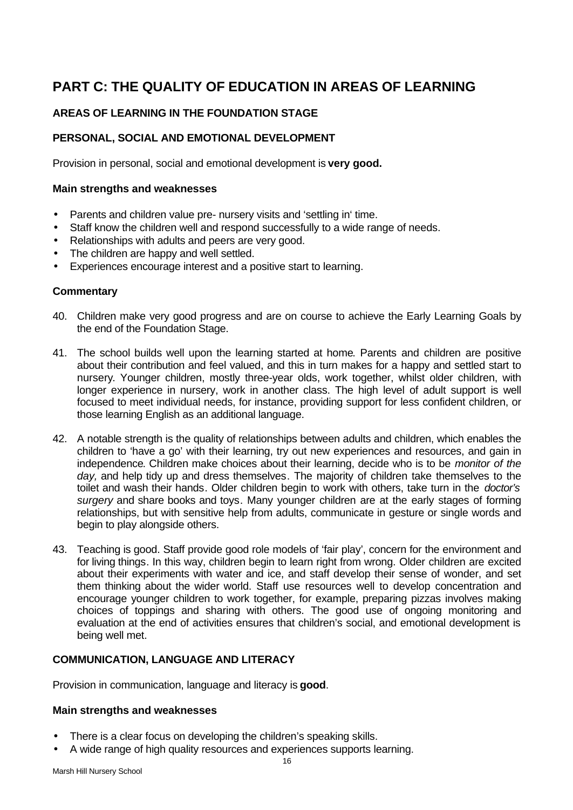# **PART C: THE QUALITY OF EDUCATION IN AREAS OF LEARNING**

# **AREAS OF LEARNING IN THE FOUNDATION STAGE**

# **PERSONAL, SOCIAL AND EMOTIONAL DEVELOPMENT**

Provision in personal, social and emotional development is **very good.**

### **Main strengths and weaknesses**

- Parents and children value pre- nursery visits and 'settling in' time.
- Staff know the children well and respond successfully to a wide range of needs.
- Relationships with adults and peers are very good.
- The children are happy and well settled.
- Experiences encourage interest and a positive start to learning.

### **Commentary**

- 40. Children make very good progress and are on course to achieve the Early Learning Goals by the end of the Foundation Stage.
- 41. The school builds well upon the learning started at home. Parents and children are positive about their contribution and feel valued, and this in turn makes for a happy and settled start to nursery. Younger children, mostly three-year olds, work together, whilst older children, with longer experience in nursery, work in another class. The high level of adult support is well focused to meet individual needs, for instance, providing support for less confident children, or those learning English as an additional language.
- 42. A notable strength is the quality of relationships between adults and children, which enables the children to 'have a go' with their learning, try out new experiences and resources, and gain in independence. Children make choices about their learning, decide who is to be *monitor of the day,* and help tidy up and dress themselves. The majority of children take themselves to the toilet and wash their hands. Older children begin to work with others, take turn in the *doctor's surgery* and share books and toys. Many younger children are at the early stages of forming relationships, but with sensitive help from adults, communicate in gesture or single words and begin to play alongside others.
- 43. Teaching is good. Staff provide good role models of 'fair play', concern for the environment and for living things. In this way, children begin to learn right from wrong. Older children are excited about their experiments with water and ice, and staff develop their sense of wonder, and set them thinking about the wider world. Staff use resources well to develop concentration and encourage younger children to work together, for example, preparing pizzas involves making choices of toppings and sharing with others. The good use of ongoing monitoring and evaluation at the end of activities ensures that children's social, and emotional development is being well met.

# **COMMUNICATION, LANGUAGE AND LITERACY**

Provision in communication, language and literacy is **good**.

#### **Main strengths and weaknesses**

- There is a clear focus on developing the children's speaking skills.
- A wide range of high quality resources and experiences supports learning.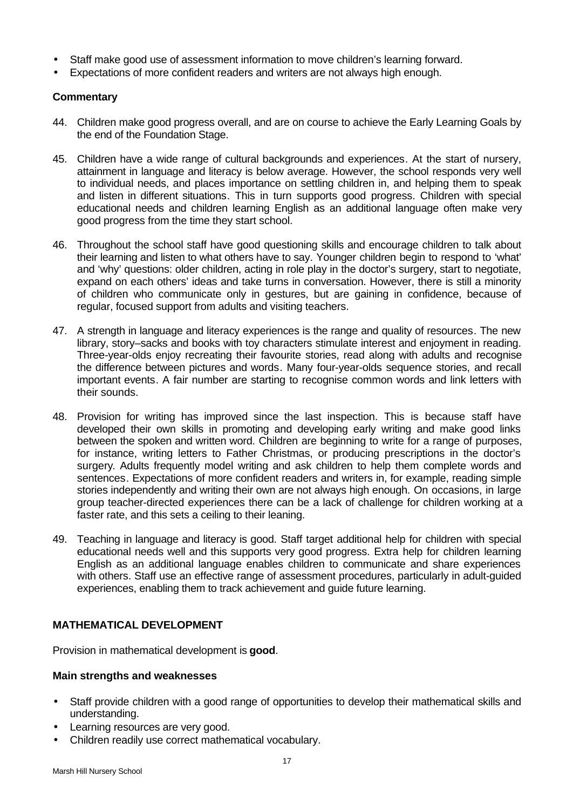- Staff make good use of assessment information to move children's learning forward.
- Expectations of more confident readers and writers are not always high enough.

# **Commentary**

- 44. Children make good progress overall, and are on course to achieve the Early Learning Goals by the end of the Foundation Stage.
- 45. Children have a wide range of cultural backgrounds and experiences. At the start of nursery, attainment in language and literacy is below average. However, the school responds very well to individual needs, and places importance on settling children in, and helping them to speak and listen in different situations. This in turn supports good progress. Children with special educational needs and children learning English as an additional language often make very good progress from the time they start school.
- 46. Throughout the school staff have good questioning skills and encourage children to talk about their learning and listen to what others have to say. Younger children begin to respond to 'what' and 'why' questions: older children, acting in role play in the doctor's surgery, start to negotiate, expand on each others' ideas and take turns in conversation. However, there is still a minority of children who communicate only in gestures, but are gaining in confidence, because of regular, focused support from adults and visiting teachers.
- 47. A strength in language and literacy experiences is the range and quality of resources. The new library, story–sacks and books with toy characters stimulate interest and enjoyment in reading. Three-year-olds enjoy recreating their favourite stories, read along with adults and recognise the difference between pictures and words. Many four-year-olds sequence stories, and recall important events. A fair number are starting to recognise common words and link letters with their sounds.
- 48. Provision for writing has improved since the last inspection. This is because staff have developed their own skills in promoting and developing early writing and make good links between the spoken and written word. Children are beginning to write for a range of purposes, for instance, writing letters to Father Christmas, or producing prescriptions in the doctor's surgery. Adults frequently model writing and ask children to help them complete words and sentences. Expectations of more confident readers and writers in, for example, reading simple stories independently and writing their own are not always high enough. On occasions, in large group teacher-directed experiences there can be a lack of challenge for children working at a faster rate, and this sets a ceiling to their leaning.
- 49. Teaching in language and literacy is good. Staff target additional help for children with special educational needs well and this supports very good progress. Extra help for children learning English as an additional language enables children to communicate and share experiences with others. Staff use an effective range of assessment procedures, particularly in adult-guided experiences, enabling them to track achievement and guide future learning.

# **MATHEMATICAL DEVELOPMENT**

Provision in mathematical development is **good**.

# **Main strengths and weaknesses**

- Staff provide children with a good range of opportunities to develop their mathematical skills and understanding.
- Learning resources are very good.
- Children readily use correct mathematical vocabulary.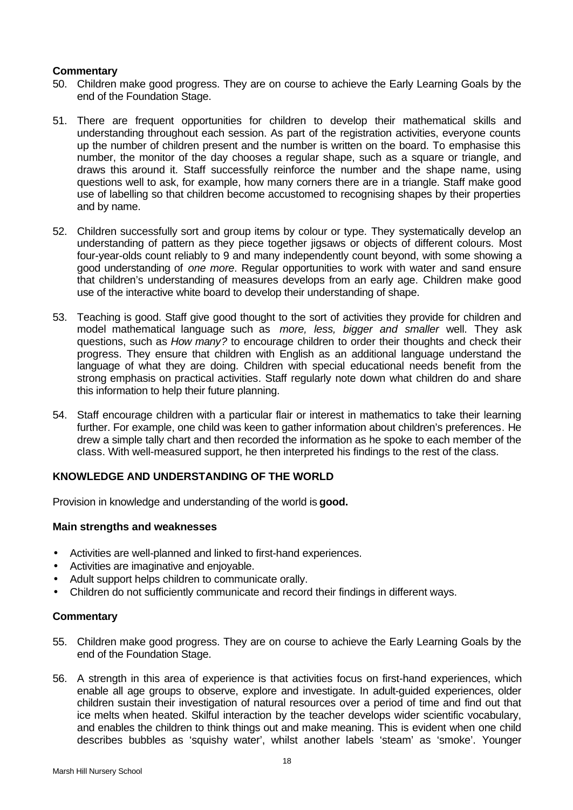### **Commentary**

- 50. Children make good progress. They are on course to achieve the Early Learning Goals by the end of the Foundation Stage.
- 51. There are frequent opportunities for children to develop their mathematical skills and understanding throughout each session. As part of the registration activities, everyone counts up the number of children present and the number is written on the board. To emphasise this number, the monitor of the day chooses a regular shape, such as a square or triangle, and draws this around it. Staff successfully reinforce the number and the shape name, using questions well to ask, for example, how many corners there are in a triangle. Staff make good use of labelling so that children become accustomed to recognising shapes by their properties and by name.
- 52. Children successfully sort and group items by colour or type. They systematically develop an understanding of pattern as they piece together jigsaws or objects of different colours. Most four-year-olds count reliably to 9 and many independently count beyond, with some showing a good understanding of *one more*. Regular opportunities to work with water and sand ensure that children's understanding of measures develops from an early age. Children make good use of the interactive white board to develop their understanding of shape.
- 53. Teaching is good. Staff give good thought to the sort of activities they provide for children and model mathematical language such as *more, less, bigger and smaller* well. They ask questions, such as *How many?* to encourage children to order their thoughts and check their progress. They ensure that children with English as an additional language understand the language of what they are doing. Children with special educational needs benefit from the strong emphasis on practical activities*.* Staff regularly note down what children do and share this information to help their future planning.
- 54. Staff encourage children with a particular flair or interest in mathematics to take their learning further. For example, one child was keen to gather information about children's preferences. He drew a simple tally chart and then recorded the information as he spoke to each member of the class. With well-measured support, he then interpreted his findings to the rest of the class.

# **KNOWLEDGE AND UNDERSTANDING OF THE WORLD**

Provision in knowledge and understanding of the world is **good.**

# **Main strengths and weaknesses**

- Activities are well-planned and linked to first-hand experiences.
- Activities are imaginative and enjoyable.
- Adult support helps children to communicate orally.
- Children do not sufficiently communicate and record their findings in different ways.

- 55. Children make good progress. They are on course to achieve the Early Learning Goals by the end of the Foundation Stage.
- 56. A strength in this area of experience is that activities focus on first-hand experiences, which enable all age groups to observe, explore and investigate. In adult-guided experiences, older children sustain their investigation of natural resources over a period of time and find out that ice melts when heated. Skilful interaction by the teacher develops wider scientific vocabulary, and enables the children to think things out and make meaning. This is evident when one child describes bubbles as 'squishy water', whilst another labels 'steam' as 'smoke'. Younger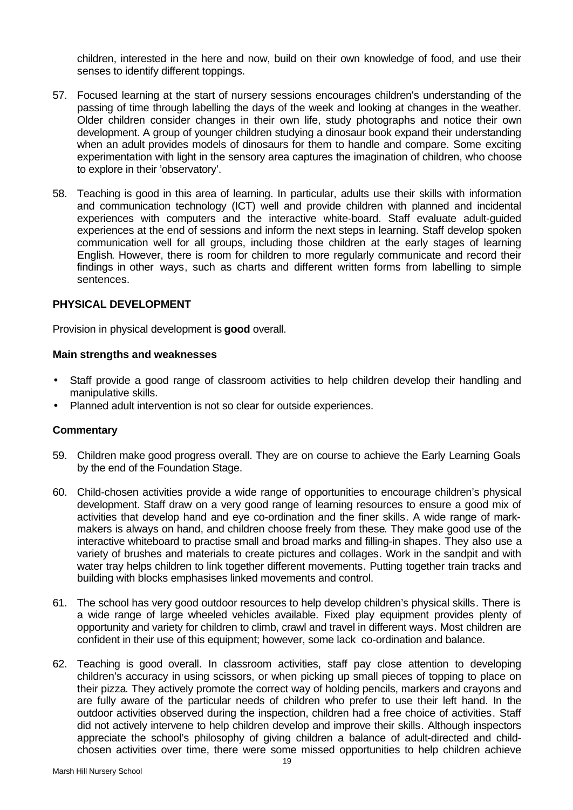children, interested in the here and now, build on their own knowledge of food, and use their senses to identify different toppings.

- 57. Focused learning at the start of nursery sessions encourages children's understanding of the passing of time through labelling the days of the week and looking at changes in the weather. Older children consider changes in their own life, study photographs and notice their own development. A group of younger children studying a dinosaur book expand their understanding when an adult provides models of dinosaurs for them to handle and compare. Some exciting experimentation with light in the sensory area captures the imagination of children, who choose to explore in their 'observatory'.
- 58. Teaching is good in this area of learning. In particular, adults use their skills with information and communication technology (ICT) well and provide children with planned and incidental experiences with computers and the interactive white-board. Staff evaluate adult-guided experiences at the end of sessions and inform the next steps in learning. Staff develop spoken communication well for all groups, including those children at the early stages of learning English. However, there is room for children to more regularly communicate and record their findings in other ways, such as charts and different written forms from labelling to simple sentences.

### **PHYSICAL DEVELOPMENT**

Provision in physical development is **good** overall.

### **Main strengths and weaknesses**

- Staff provide a good range of classroom activities to help children develop their handling and manipulative skills.
- Planned adult intervention is not so clear for outside experiences.

- 59. Children make good progress overall. They are on course to achieve the Early Learning Goals by the end of the Foundation Stage.
- 60. Child-chosen activities provide a wide range of opportunities to encourage children's physical development. Staff draw on a very good range of learning resources to ensure a good mix of activities that develop hand and eye co-ordination and the finer skills. A wide range of markmakers is always on hand, and children choose freely from these. They make good use of the interactive whiteboard to practise small and broad marks and filling-in shapes. They also use a variety of brushes and materials to create pictures and collages. Work in the sandpit and with water tray helps children to link together different movements. Putting together train tracks and building with blocks emphasises linked movements and control.
- 61. The school has very good outdoor resources to help develop children's physical skills. There is a wide range of large wheeled vehicles available. Fixed play equipment provides plenty of opportunity and variety for children to climb, crawl and travel in different ways. Most children are confident in their use of this equipment; however, some lack co-ordination and balance.
- 62. Teaching is good overall. In classroom activities, staff pay close attention to developing children's accuracy in using scissors, or when picking up small pieces of topping to place on their pizza. They actively promote the correct way of holding pencils, markers and crayons and are fully aware of the particular needs of children who prefer to use their left hand. In the outdoor activities observed during the inspection, children had a free choice of activities. Staff did not actively intervene to help children develop and improve their skills. Although inspectors appreciate the school's philosophy of giving children a balance of adult-directed and childchosen activities over time, there were some missed opportunities to help children achieve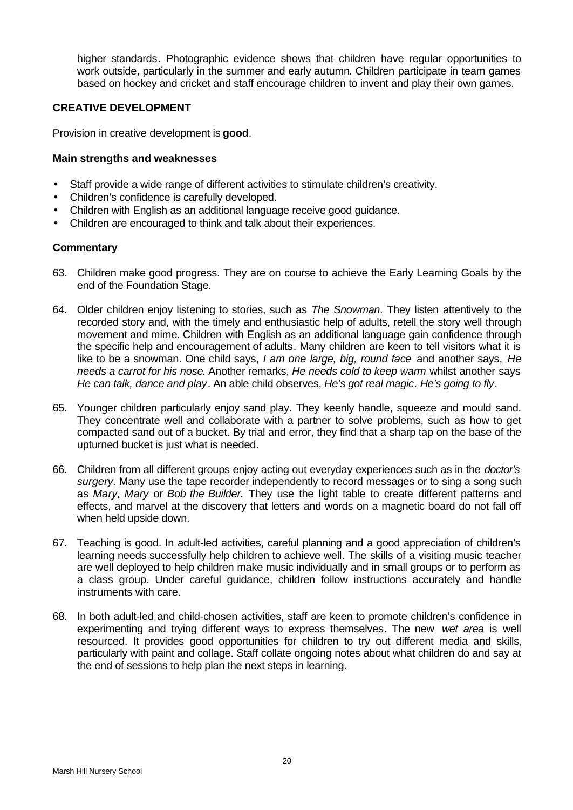higher standards. Photographic evidence shows that children have regular opportunities to work outside, particularly in the summer and early autumn. Children participate in team games based on hockey and cricket and staff encourage children to invent and play their own games.

# **CREATIVE DEVELOPMENT**

Provision in creative development is **good**.

# **Main strengths and weaknesses**

- Staff provide a wide range of different activities to stimulate children's creativity.
- Children's confidence is carefully developed.
- Children with English as an additional language receive good guidance.
- Children are encouraged to think and talk about their experiences.

- 63. Children make good progress. They are on course to achieve the Early Learning Goals by the end of the Foundation Stage.
- 64. Older children enjoy listening to stories, such as *The Snowman*. They listen attentively to the recorded story and, with the timely and enthusiastic help of adults, retell the story well through movement and mime. Children with English as an additional language gain confidence through the specific help and encouragement of adults. Many children are keen to tell visitors what it is like to be a snowman. One child says, *I am one large, big, round face* and another says, *He needs a carrot for his nose*. Another remarks, *He needs cold to keep warm* whilst another says *He can talk, dance and play*. An able child observes, *He's got real magic. He's going to fly*.
- 65. Younger children particularly enjoy sand play. They keenly handle, squeeze and mould sand. They concentrate well and collaborate with a partner to solve problems, such as how to get compacted sand out of a bucket. By trial and error, they find that a sharp tap on the base of the upturned bucket is just what is needed.
- 66. Children from all different groups enjoy acting out everyday experiences such as in the *doctor's surgery*. Many use the tape recorder independently to record messages or to sing a song such as *Mary, Mary* or *Bob the Builder.* They use the light table to create different patterns and effects, and marvel at the discovery that letters and words on a magnetic board do not fall off when held upside down.
- 67. Teaching is good. In adult-led activities, careful planning and a good appreciation of children's learning needs successfully help children to achieve well. The skills of a visiting music teacher are well deployed to help children make music individually and in small groups or to perform as a class group. Under careful guidance, children follow instructions accurately and handle instruments with care.
- 68. In both adult-led and child-chosen activities, staff are keen to promote children's confidence in experimenting and trying different ways to express themselves. The new *wet area* is well resourced. It provides good opportunities for children to try out different media and skills, particularly with paint and collage. Staff collate ongoing notes about what children do and say at the end of sessions to help plan the next steps in learning.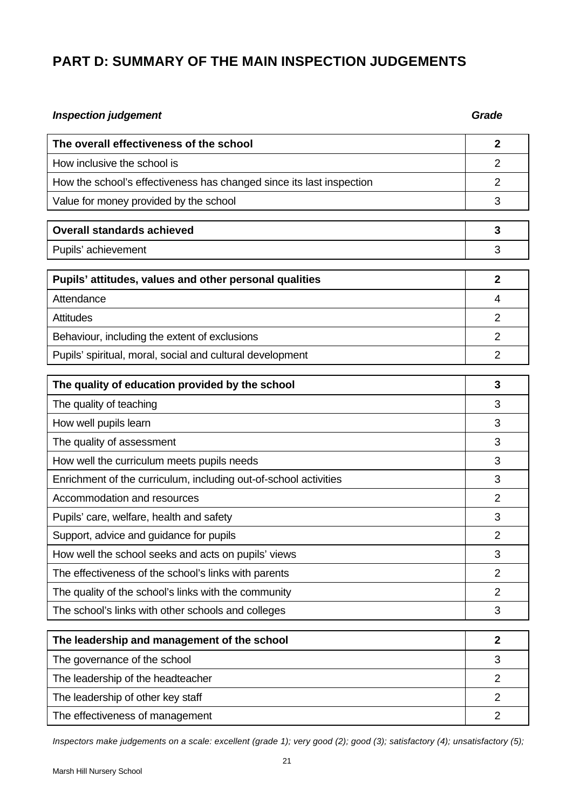# **PART D: SUMMARY OF THE MAIN INSPECTION JUDGEMENTS**

| <b>Inspection judgement</b>                                          | Grade          |  |
|----------------------------------------------------------------------|----------------|--|
| The overall effectiveness of the school                              | $\mathbf{2}$   |  |
| How inclusive the school is                                          | $\overline{2}$ |  |
| How the school's effectiveness has changed since its last inspection | $\overline{2}$ |  |
| Value for money provided by the school                               | 3              |  |
| <b>Overall standards achieved</b>                                    | 3              |  |
| Pupils' achievement                                                  | 3              |  |
| Pupils' attitudes, values and other personal qualities               | $\overline{2}$ |  |
| Attendance                                                           | 4              |  |
| <b>Attitudes</b>                                                     | 2              |  |
| Behaviour, including the extent of exclusions                        | $\overline{2}$ |  |
| Pupils' spiritual, moral, social and cultural development            | $\overline{2}$ |  |
| The quality of education provided by the school                      | 3              |  |
| The quality of teaching                                              | 3              |  |
| How well pupils learn                                                | 3              |  |
| The quality of assessment                                            | 3              |  |
| How well the curriculum meets pupils needs                           | 3              |  |
| Enrichment of the curriculum, including out-of-school activities     | 3              |  |
| Accommodation and resources                                          | $\overline{2}$ |  |
| Pupils' care, welfare, health and safety                             | 3              |  |
| Support, advice and guidance for pupils                              | $\overline{2}$ |  |
| How well the school seeks and acts on pupils' views                  | 3              |  |
| The effectiveness of the school's links with parents                 | $\overline{2}$ |  |
| The quality of the school's links with the community                 | 2              |  |
| The school's links with other schools and colleges                   | 3              |  |
| The leadership and management of the school                          | $\mathbf{2}$   |  |
| The governance of the school                                         | 3              |  |
| The leadership of the headteacher                                    | $\overline{2}$ |  |
| The leadership of other key staff                                    | $\overline{2}$ |  |

The effectiveness of management 2

*Inspectors make judgements on a scale: excellent (grade 1); very good (2); good (3); satisfactory (4); unsatisfactory (5);*